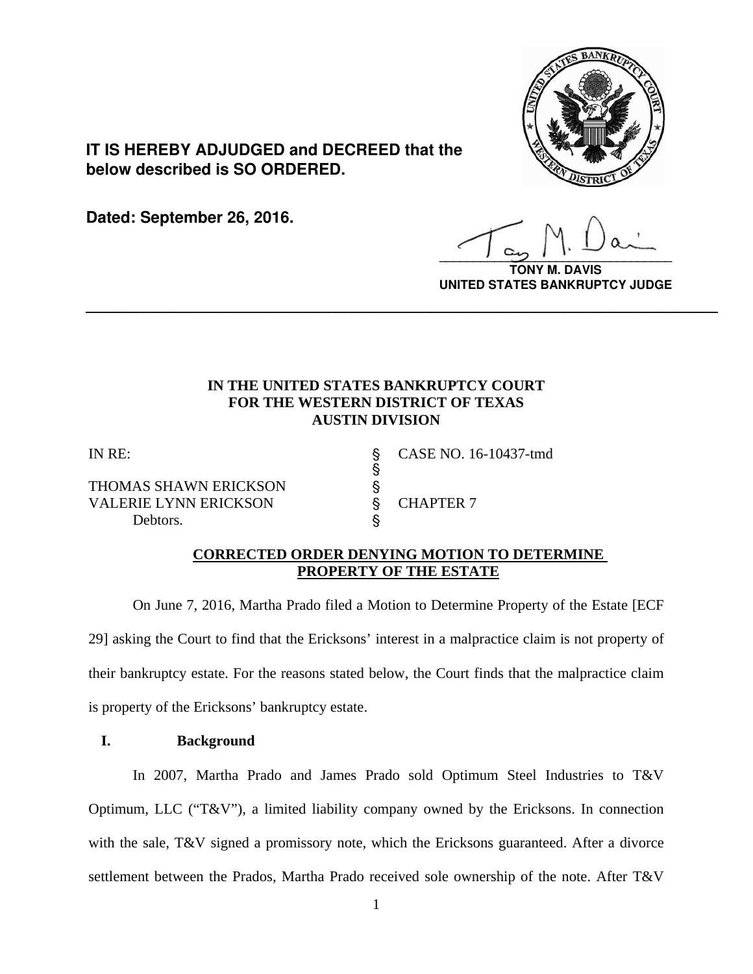

**IT IS HEREBY ADJUDGED and DECREED that the below described is SO ORDERED.**

**Dated: September 26, 2016.**

**\_\_\_\_\_\_\_\_\_\_\_\_\_\_\_\_\_\_\_\_\_\_\_\_\_\_\_\_\_\_\_\_\_\_**

**TONY M. UNITED STATES BANKRUPTCY JUDGE**

## **IN THE UNITED STATES BANKRUPTCY COURT FOR THE WESTERN DISTRICT OF TEXAS AUSTIN DIVISION**

**\_\_\_\_\_\_\_\_\_\_\_\_\_\_\_\_\_\_\_\_\_\_\_\_\_\_\_\_\_\_\_\_\_\_\_\_\_\_\_\_\_\_\_\_\_\_\_\_\_\_\_\_\_\_\_\_\_\_\_\_\_\_\_\_\_\_**

 $\overline{\S}$ 

THOMAS SHAWN ERICKSON \S VALERIE LYNN ERICKSON S CHAPTER 7 Debtors.

IN RE: ' CASE NO. 16-10437-tmd

## **CORRECTED ORDER DENYING MOTION TO DETERMINE PROPERTY OF THE ESTATE**

 On June 7, 2016, Martha Prado filed a Motion to Determine Property of the Estate [ECF 29] asking the Court to find that the Ericksons' interest in a malpractice claim is not property of their bankruptcy estate. For the reasons stated below, the Court finds that the malpractice claim is property of the Ericksons' bankruptcy estate.

## **I. Background**

In 2007, Martha Prado and James Prado sold Optimum Steel Industries to T&V Optimum, LLC ("T&V"), a limited liability company owned by the Ericksons. In connection with the sale, T&V signed a promissory note, which the Ericksons guaranteed. After a divorce settlement between the Prados, Martha Prado received sole ownership of the note. After T&V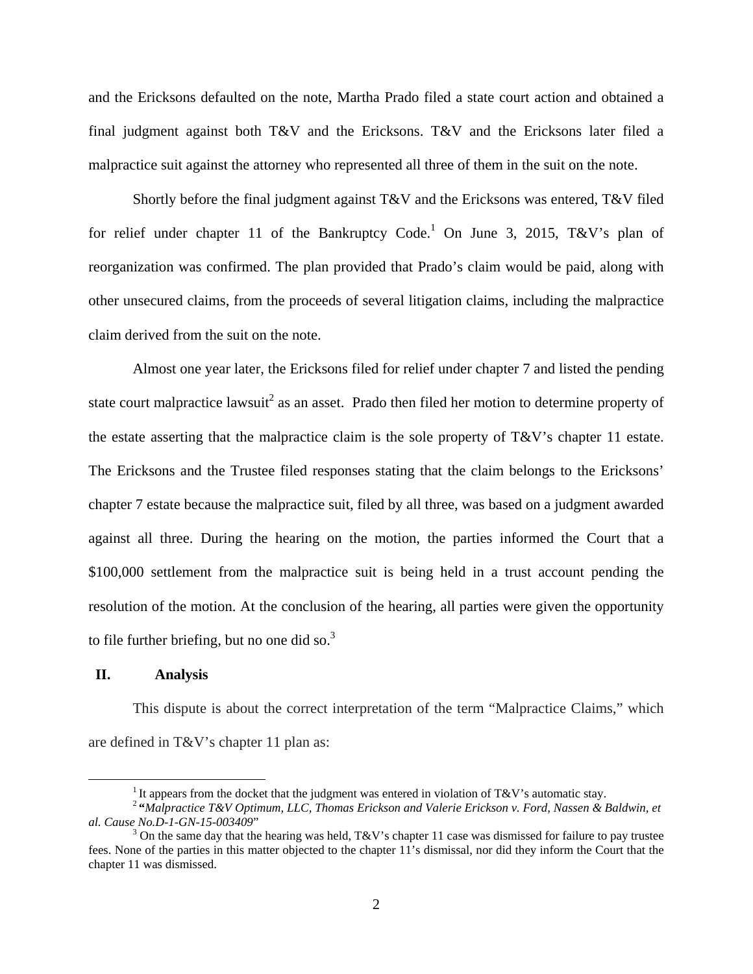and the Ericksons defaulted on the note, Martha Prado filed a state court action and obtained a final judgment against both T&V and the Ericksons. T&V and the Ericksons later filed a malpractice suit against the attorney who represented all three of them in the suit on the note.

Shortly before the final judgment against T&V and the Ericksons was entered, T&V filed for relief under chapter 11 of the Bankruptcy Code.<sup>1</sup> On June 3, 2015, T&V's plan of reorganization was confirmed. The plan provided that Prado's claim would be paid, along with other unsecured claims, from the proceeds of several litigation claims, including the malpractice claim derived from the suit on the note.

Almost one year later, the Ericksons filed for relief under chapter 7 and listed the pending state court malpractice lawsuit<sup>2</sup> as an asset. Prado then filed her motion to determine property of the estate asserting that the malpractice claim is the sole property of  $T&V$ 's chapter 11 estate. The Ericksons and the Trustee filed responses stating that the claim belongs to the Ericksons' chapter 7 estate because the malpractice suit, filed by all three, was based on a judgment awarded against all three. During the hearing on the motion, the parties informed the Court that a \$100,000 settlement from the malpractice suit is being held in a trust account pending the resolution of the motion. At the conclusion of the hearing, all parties were given the opportunity to file further briefing, but no one did so. $3$ 

## **II. Analysis**

This dispute is about the correct interpretation of the term "Malpractice Claims," which are defined in T&V's chapter 11 plan as:

<sup>&</sup>lt;sup>1</sup> It appears from the docket that the judgment was entered in violation of T&V's automatic stay.

<sup>2</sup>**"***Malpractice T&V Optimum, LLC, Thomas Erickson and Valerie Erickson v. Ford, Nassen & Baldwin, et al. Cause No.D-1-GN-15-003409*" <sup>3</sup>

<sup>&</sup>lt;sup>3</sup> On the same day that the hearing was held, T&V's chapter 11 case was dismissed for failure to pay trustee fees. None of the parties in this matter objected to the chapter 11's dismissal, nor did they inform the Court that the chapter 11 was dismissed.